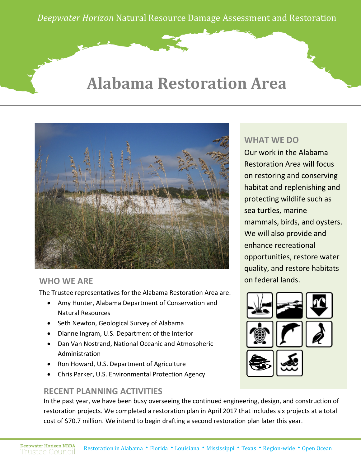*Deepwater Horizon* Natural Resource Damage Assessment and Restoration

## **Alabama Restoration Area**



#### **WHO WE ARE**

The Trustee representatives for the Alabama Restoration Area are:

- Amy Hunter, Alabama Department of Conservation and Natural Resources
- Seth Newton, Geological Survey of Alabama
- Dianne Ingram, U.S. Department of the Interior
- Dan Van Nostrand, National Oceanic and Atmospheric Administration
- Ron Howard, U.S. Department of Agriculture
- Chris Parker, U.S. Environmental Protection Agency

#### **RECENT PLANNING ACTIVITIES**

**WHAT WE DO**

Our work in the Alabama Restoration Area will focus on restoring and conserving habitat and replenishing and protecting wildlife such as sea turtles, marine mammals, birds, and oysters. We will also provide and enhance recreational opportunities, restore water quality, and restore habitats on federal lands.



In the past year, we have been busy overseeing the continued engineering, design, and construction of restoration projects. We completed a restoration plan in April 2017 that includes six projects at a total cost of \$70.7 million. We intend to begin drafting a second restoration plan later this year.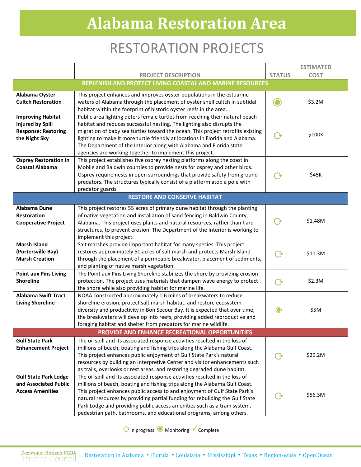# **Alabama Restoration Area**

### RESTORATION PROJECTS

|                                                  | <b>PROJECT DESCRIPTION</b>                                                                                                                              | <b>STATUS</b>    | <b>ESTIMATED</b><br><b>COST</b> |  |
|--------------------------------------------------|---------------------------------------------------------------------------------------------------------------------------------------------------------|------------------|---------------------------------|--|
|                                                  | REPLENISH AND PROTECT LIVING COASTAL AND MARINE RESOURCES                                                                                               |                  |                                 |  |
| Alabama Oyster                                   | This project enhances and improves oyster populations in the estuarine                                                                                  |                  |                                 |  |
| <b>Cultch Restoration</b>                        | waters of Alabama through the placement of oyster shell cultch in subtidal                                                                              |                  | \$3.2M                          |  |
|                                                  | habitat within the footprint of historic oyster reefs in the area.                                                                                      |                  |                                 |  |
| <b>Improving Habitat</b>                         | Public area lighting deters female turtles from reaching their natural beach                                                                            |                  |                                 |  |
| <b>Injured by Spill</b>                          | habitat and reduces successful nesting. The lighting also disrupts the                                                                                  |                  |                                 |  |
| <b>Response: Restoring</b>                       | migration of baby sea turtles toward the ocean. This project retrofits existing                                                                         | $\Omega$         | \$100K                          |  |
| the Night Sky                                    | lighting to make it more turtle friendly at locations in Florida and Alabama.                                                                           |                  |                                 |  |
|                                                  | The Department of the Interior along with Alabama and Florida state<br>agencies are working together to implement this project.                         |                  |                                 |  |
| <b>Osprey Restoration in</b>                     | This project establishes five osprey nesting platforms along the coast in                                                                               |                  |                                 |  |
| <b>Coastal Alabama</b>                           | Mobile and Baldwin counties to provide nests for osprey and other birds.                                                                                |                  |                                 |  |
|                                                  | Osprey require nests in open surroundings that provide safety from ground                                                                               |                  | \$45K                           |  |
|                                                  | predators. The structures typically consist of a platform atop a pole with                                                                              |                  |                                 |  |
|                                                  | predator guards.                                                                                                                                        |                  |                                 |  |
| <b>RESTORE AND CONSERVE HABITAT</b>              |                                                                                                                                                         |                  |                                 |  |
| Alabama Dune                                     | This project restores 55 acres of primary dune habitat through the planting                                                                             |                  |                                 |  |
| <b>Restoration</b>                               | of native vegetation and installation of sand fencing in Baldwin County,                                                                                |                  |                                 |  |
| <b>Cooperative Project</b>                       | Alabama. This project uses plants and natural resources, rather than hard                                                                               |                  | \$1.48M                         |  |
|                                                  | structures, to prevent erosion. The Department of the Interior is working to                                                                            |                  |                                 |  |
| <b>Marsh Island</b>                              | implement this project.                                                                                                                                 |                  |                                 |  |
| (Portersville Bay)                               | Salt marshes provide important habitat for many species. This project<br>restores approximately 50 acres of salt marsh and protects Marsh Island        |                  |                                 |  |
| <b>Marsh Creation</b>                            | through the placement of a permeable breakwater, placement of sediments,                                                                                | $\rightarrow$    | \$11.3M                         |  |
|                                                  | and planting of native marsh vegetation.                                                                                                                |                  |                                 |  |
| <b>Point aux Pins Living</b>                     | The Point aux Pins Living Shoreline stabilizes the shore by providing erosion                                                                           |                  |                                 |  |
| <b>Shoreline</b>                                 | protection. The project uses materials that dampen wave energy to protect                                                                               | $\rm O$          | \$2.3M                          |  |
|                                                  | the shore while also providing habitat for marine life.                                                                                                 |                  |                                 |  |
| <b>Alabama Swift Tract</b>                       | NOAA constructed approximately 1.6 miles of breakwaters to reduce                                                                                       |                  |                                 |  |
| <b>Living Shoreline</b>                          | shoreline erosion, protect salt marsh habitat, and restore ecosystem                                                                                    |                  |                                 |  |
|                                                  | diversity and productivity in Bon Secour Bay. It is expected that over time,                                                                            | $\mathbf{\odot}$ | \$5M                            |  |
|                                                  | the breakwaters will develop into reefs, providing added reproductive and<br>foraging habitat and shelter from predators for marine wildlife.           |                  |                                 |  |
| PROVIDE AND ENHANCE RECREATIONAL OPPORTUNITIES   |                                                                                                                                                         |                  |                                 |  |
| <b>Gulf State Park</b>                           | The oil spill and its associated response activities resulted in the loss of                                                                            |                  |                                 |  |
| <b>Enhancement Project</b>                       | millions of beach, boating and fishing trips along the Alabama Gulf Coast.                                                                              |                  |                                 |  |
|                                                  | This project enhances public enjoyment of Gulf State Park's natural                                                                                     |                  | \$29.2M                         |  |
|                                                  | resources by building an Interpretive Center and visitor enhancements such                                                                              |                  |                                 |  |
|                                                  | as trails, overlooks or rest areas, and restoring degraded dune habitat.                                                                                |                  |                                 |  |
| <b>Gulf State Park Lodge</b>                     | The oil spill and its associated response activities resulted in the loss of                                                                            |                  |                                 |  |
| and Associated Public<br><b>Access Amenities</b> | millions of beach, boating and fishing trips along the Alabama Gulf Coast.<br>This project enhances public access to and enjoyment of Gulf State Park's |                  |                                 |  |
|                                                  | natural resources by providing partial funding for rebuilding the Gulf State                                                                            |                  | \$56.3M                         |  |
|                                                  | Park Lodge and providing public access amenities such as a tram system,                                                                                 |                  |                                 |  |
|                                                  | pedestrian path, bathrooms, and educational programs, among others.                                                                                     |                  |                                 |  |

CIn progress ● Monitoring V Complete